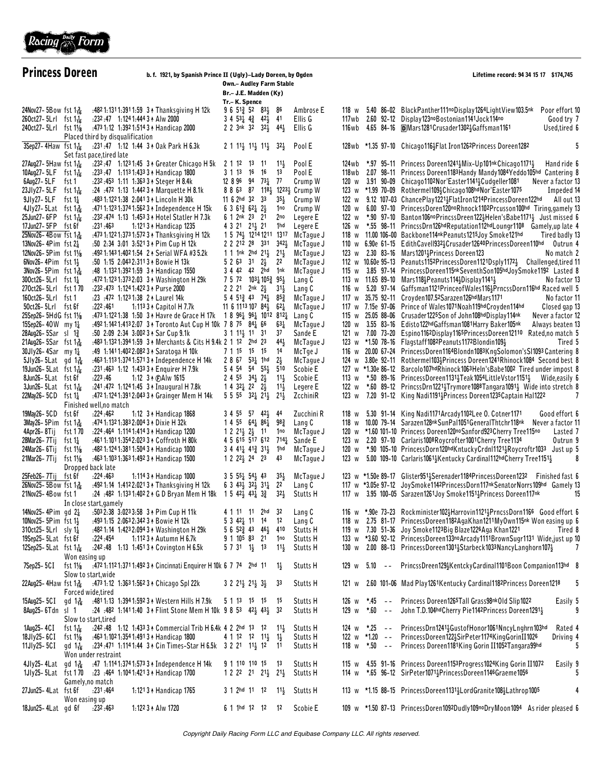

| <b>Princess Doreen</b>                                                         |                         |                                     |                                                                                                                                                    | b. f. 1921, by Spanish Prince II (Ugly)-Lady Doreen, by Ogden<br><b>Own.- Audley Farm Stable</b><br>Br.- J.E. Madden (Ky) |  |                                                                                                 |                                                                       |                              |                                                           |  |       | Lifetime record: 94 34 15 17 \$174,745                                                                                                                     |  |
|--------------------------------------------------------------------------------|-------------------------|-------------------------------------|----------------------------------------------------------------------------------------------------------------------------------------------------|---------------------------------------------------------------------------------------------------------------------------|--|-------------------------------------------------------------------------------------------------|-----------------------------------------------------------------------|------------------------------|-----------------------------------------------------------|--|-------|------------------------------------------------------------------------------------------------------------------------------------------------------------|--|
|                                                                                |                         |                                     |                                                                                                                                                    | Tr.-K. Spence                                                                                                             |  |                                                                                                 |                                                                       |                              |                                                           |  |       |                                                                                                                                                            |  |
| 24Nov27-5Bow fst 1                                                             |                         |                                     | :482 1:131 1:391 1:59 3 1 Thanksgiving H 12k                                                                                                       |                                                                                                                           |  | $9651\frac{3}{4}5283\frac{1}{2}86$                                                              |                                                                       | Ambrose E                    |                                                           |  |       | 118 w 5.40 86-02 BlackPanther111noDisplay1264LightView103.5nk<br>Poor effort 10                                                                            |  |
| $260ct27 - 5Lr1$ fst $1\frac{1}{16}$                                           |                         |                                     | :232:47 1:124 1:444 3 + Alw 2000                                                                                                                   |                                                                                                                           |  | $3\; 4\; 53\frac{1}{4}\; 4\frac{3}{4}\; 42\frac{1}{5}$                                          | 41                                                                    | Ellis G                      |                                                           |  |       | 117wb 2.60 92-12 Display123noBostonian1141Jock114no<br>Good try 7                                                                                          |  |
| 240ct27-5Lrl fst 11/8                                                          |                         |                                     | :473 1:12 1:392 1:514 3 + Handicap 2000                                                                                                            |                                                                                                                           |  | 2 2 3nk 32 $32\frac{1}{2}$                                                                      | $44\frac{1}{2}$                                                       | Ellis G                      |                                                           |  |       | 116wb 4.65 84-16 <b>D</b> Mars1281Crusader13023Gaffsman1161<br>Used,tired 6                                                                                |  |
| $3$ Sep27-4Haw fst $1\frac{1}{16}$                                             |                         | Placed third by disqualification    | :231:47 1:12 1:44 3 + 0ak Park H 6.3k                                                                                                              |                                                                                                                           |  | $2$ 1 1 <sup>1</sup> / <sub>2</sub> 1 <sup>1</sup> / <sub>2</sub> 1 <sup>1</sup> / <sub>2</sub> | $32\frac{1}{2}$                                                       | Pool E                       |                                                           |  |       | 128wb *1.35 97-10 Chicago116 <sup>1</sup> Flat Iron126 <sup>2</sup> Princess Doreen128 <sup>2</sup><br>5                                                   |  |
| 27Aug27-5Haw fst 1 $\frac{1}{16}$                                              |                         | Set fast pace, tired late           | :232:47 1:1231:45 3 A Greater Chicago H 5k                                                                                                         | 2 1 12 13                                                                                                                 |  | - 11                                                                                            | $11\frac{1}{2}$                                                       | Pool E                       | 124 w b                                                   |  |       | *.97 95-11 Princess Doreen1241 3 Mix-Up101 nk Chicago 1171 3<br>Hand ride 6                                                                                |  |
| 10Aug27-5LF                                                                    | fst 1 $\frac{1}{16}$    |                                     | :233:47 1:113 1:433 3 + Handicap 1800                                                                                                              |                                                                                                                           |  | 3 1 13 16 16                                                                                    | 13                                                                    | Pool E                       |                                                           |  |       | 118wb 2.07 98-11 Princess Doreen1183 Handy Mandy 1084 Yeddo 105hd Cantering 8                                                                              |  |
| 6Aug27-5LF                                                                     | fst 1                   |                                     | .232 .453 1.11 1.363 3 ↑ Steger H 8.4k                                                                                                             |                                                                                                                           |  | 12 8 96 94 73 <sup>1</sup> / <sub>4</sub> 77                                                    |                                                                       | Crump W                      |                                                           |  |       | 120 w 3.91 90-09 Chicago1102Nor'Easter1141 $\frac{1}{2}$ Cudgeller1081<br>Never a factor 1                                                                 |  |
| 23Jly27-5LF                                                                    | fst 1 $\frac{1}{16}$    |                                     | :24 .472 1:13 1:442 3 Marquette H 8.1k                                                                                                             |                                                                                                                           |  |                                                                                                 |                                                                       | 8 8 63 87 1181 12231 Crump W |                                                           |  |       | 123 w *1.99 70-09 Rothermel1093Chicago108hdNor'Easter1075<br>Impeded 14                                                                                    |  |
| 9JIy27-5LF                                                                     | fst 1 $\frac{1}{4}$     |                                     | :483 1:122 1:38 2:041 3 1 Lincoln H 30k                                                                                                            |                                                                                                                           |  | $11 6 2hd 32 33$                                                                                | $35\frac{1}{2}$                                                       | Crump W                      |                                                           |  |       | 122 w 9.12 107-03 ChancePlay1221 <sup>1</sup> / <sub>2</sub> FlatIron1214PrincessDoreen122hd<br>All out 1                                                  |  |
| 4Jly27-5Lat                                                                    | fst 1 $\frac{3}{16}$    |                                     | :471 1:123 1:374 1:562 3 1 Independence H 15k                                                                                                      |                                                                                                                           |  | $6361\frac{3}{4}62\frac{1}{4}2\frac{1}{5}$                                                      | 1no                                                                   | Crump W                      |                                                           |  |       | 120 w 6.00 97-10 PrincessDoren120noRhnock1102Prcusson100hd Tiring, gamely 13                                                                               |  |
| 25Jun27-6FP                                                                    | fst 1 $\frac{1}{16}$    |                                     | .232.474 1.13 1.453 3 ↑ Hotel Statler H 7.3k                                                                                                       |                                                                                                                           |  | 6 1 2nk 23 21                                                                                   | 2no                                                                   | Legere E                     |                                                           |  |       | 122 w *.90 97-10 Banton106noPrincssDreen122 $\frac{1}{2}$ Helen'sBabe1171 $\frac{1}{2}$ Just missed 6                                                      |  |
| $17$ Jun27- $5FP$ fst $6f$                                                     |                         | : 231 : 463                         | 1:121 3 + Handicap 1235                                                                                                                            |                                                                                                                           |  | 4 3 21 21 21                                                                                    | 1hd                                                                   | Legere E                     |                                                           |  |       | 126 w *.55 98-11 PrincssDrn126hdReputation112hdLoungr1108 Gamely,up late 4                                                                                 |  |
| 25Nov26-4Bow fst 1 kg                                                          |                         |                                     | :473 1:122 1:373 1:572 3 1 Thanksgiving H 12k                                                                                                      |                                                                                                                           |  | 2 2 212 28 331                                                                                  | 1 5 74 <sup>1</sup> / <sub>2</sub> 1214 1211 1317<br>$342\frac{1}{2}$ | McTague J<br>McTaque J       |                                                           |  |       | 118 w 11.00 106-00 Backbone114nkPeanuts1215Joy Smoke121hd<br>Tired badly 13<br>110 w 6.90e 61-15 EdithCavell9323Crusader12640PrincessDoreen110hd           |  |
| 13Nov26-4Pim fst $2\frac{1}{4}$<br>12Nov26-5Pim fst 11/8                       |                         |                                     | :50 2:34 3:01 3:521 3 + Pim Cup H 12k<br>:492 1:143 1:402 1:54 2 1 Serial WFA #3 5.2k                                                              |                                                                                                                           |  | 1 1 1 nk 2 hd $21\frac{1}{2}$ $21\frac{1}{2}$                                                   |                                                                       | McTague J                    |                                                           |  |       | Outrun 4<br>123 w 2.30 83-16 Mars12014 Princess Doreen 123<br>No match 2                                                                                   |  |
| $6$ Nov26-4Pim fst 1 $\frac{1}{2}$                                             |                         |                                     | :50 1:15 2:043 2:311 3 + Bowie H 13k                                                                                                               |                                                                                                                           |  | $5 \t2 \t63 \t31 \t2\frac{1}{2}$                                                                | 22                                                                    | McTague J                    |                                                           |  |       | 112 w 10.60e 95-13 Peanuts1152PrincessDoren1121Dsply11723 Challenged, tired 1                                                                              |  |
| 3Nov26-5Pim fst 1                                                              |                         |                                     | :48 1:1321:3921:59 3 + Handicap 1550                                                                                                               |                                                                                                                           |  | 3 4 42 42 2hd 1nk                                                                               |                                                                       | McTague J                    |                                                           |  |       | 115 w 3.85 97-14 PrincessDoreen115nkSeventhSon105hdJoySmoke1192 Lasted 8                                                                                   |  |
| $300$ ct26-5Lrl fst 1 $\frac{1}{4}$                                            |                         |                                     | :472 1:123 1:373 2:03 3 1 Washington H 29k                                                                                                         |                                                                                                                           |  | 7 5 72 1031 1053 951                                                                            |                                                                       | Lang C                       |                                                           |  |       | 113 w 11.65 89-10 Mars118 <sup>1</sup> /Peanuts114 <sup>1</sup> /Display1141 <sup>1</sup> / <sub>3</sub><br>No factor 1                                    |  |
| 270ct26-5Lrl fst 170                                                           |                         |                                     | :232:473 1:1241:422 3 + Purse 2000                                                                                                                 |                                                                                                                           |  | 2 2 21 2nk $2\frac{1}{2}$                                                                       | $31\frac{1}{2}$                                                       | Lang C                       |                                                           |  |       | 116 w 5.20 97-14 Gaffsman1121PrinceofWales116 <sup>1</sup> <sub>2</sub> PrncssDorn116hd Raced well 5                                                       |  |
| 160ct26-5Lrl fst 1                                                             |                         |                                     | :23 :472 1:123 1:38 2 A Laurel 14k                                                                                                                 |                                                                                                                           |  | $5\;4\;51\frac{3}{4}\;43\;74\frac{1}{4}\;85\frac{3}{4}$                                         |                                                                       | McTague J                    |                                                           |  |       | 117 w 35.75 92-11 Croyden107.52Sarazen126hdMars1171<br>No factor 1                                                                                         |  |
| $50ct26 - 5Lrl$ fst $6f$                                                       |                         | :222:461                            | 1:113 3 + Capitol H 7.7k                                                                                                                           |                                                                                                                           |  | 11 6 1113 107 84 $\frac{1}{2}$                                                                  | $6^{21}$                                                              | McTague J                    |                                                           |  |       | 117 w 7.15e 97-06 Prince of Wales1071 Noah119hd Croyden 114hd<br>Closed gap 13                                                                             |  |
| 25Sep26-5HdG fst 11/8                                                          |                         |                                     | :473 1:122 1:38 1:50 3 A Havre de Grace H 17k                                                                                                      |                                                                                                                           |  |                                                                                                 | 1 8 961 961 1012 8121                                                 | Lang C                       |                                                           |  |       | 115 w 25.05 88-06 Crusader1225Son of John108hdDisplay114nk<br>Never a factor 1                                                                             |  |
| 15Sep26-40W my $1\frac{1}{4}$<br>28Aug26-5Sar sl 1 <sup>3</sup> / <sub>4</sub> |                         |                                     | :492 1:142 1:413 2:07 3 + Toronto Aut Cup H 10k 7 8 75 84 $\frac{1}{4}$ 66<br>:50 2:09 2:34 3:002 3 + Sar Cup 9.1k                                 |                                                                                                                           |  | $3 \t1 \t1 \t1 \t2 \t1 \t31$                                                                    | $63\frac{1}{4}$<br>37                                                 | McTague J<br>Sande E         |                                                           |  |       | 120 w 3.55 83-16 Edisto122hdGaffsman1081Harry Baker105nk<br>Always beaten 1<br>121 w 7.00 73-20 Espino1162Display1165PrincessDoreen12110 Rated, no match 5 |  |
| 21Aug26-5Sar fst 1 A                                                           |                         |                                     | :483 1:132 1:394 1:59 3 A Merchants & Cits H 9.4k 2 1 12 2hd 23                                                                                    |                                                                                                                           |  |                                                                                                 | $44\frac{1}{2}$                                                       | McTague J                    |                                                           |  |       | Tired 5<br>123 w *1.50 78-16 Flagstaff1082Peanuts1172Blondin1093                                                                                           |  |
| 30Jly26-4Sar my $1\frac{1}{4}$                                                 |                         |                                     | :49 1:1411:4022:0823 + Saratoga H 10k                                                                                                              |                                                                                                                           |  | 7 1 15 15 15                                                                                    | 14                                                                    | McTge J                      |                                                           |  |       | 116 w 20.00 67-24 PrincessDoren1164Blondn1083KngSolomon'sSI1093 Cantering 8                                                                                |  |
| $5Jly26 - 5Lat$ gd $1\frac{3}{16}$                                             |                         |                                     | :463 1:113 1:374 1:571 3 + Independence H 14k                                                                                                      |                                                                                                                           |  | $286753\frac{1}{4}1$ hd                                                                         | $2\frac{1}{2}$                                                        | McTague J                    |                                                           |  |       | 124 w 3.80e 92-11 Rothermel103}Princess Doreen1241Rhinock1084 Second best 8                                                                                |  |
| 19Jun26-5Lat fst $1\frac{1}{16}$                                               |                         |                                     | :231:463 1:12 1:433 3 + Enquirer H 7.9k                                                                                                            |                                                                                                                           |  | 5 4 54 54 55 }                                                                                  | 510                                                                   | Scobie E                     |                                                           |  |       | 127 w *1.30e 86-12 Barcolo107hdRhinock1063Heln'sBabe1002 Tired under impost 8                                                                              |  |
| 8Jun26-5Lat fst6f                                                              |                         | :223:46                             | 1:12 3 4 CAIw 1615                                                                                                                                 |                                                                                                                           |  | $2455$ $34\frac{1}{2}$ $2\frac{1}{2}$                                                           | $11\frac{1}{2}$                                                       | Scobie E                     |                                                           |  |       | 113 w *.50 89-16 PrincessDoreen1131 <sup>1</sup> / <sub>2</sub> Teak1054LittleVstor1151 <sup>1</sup> / <sub>2</sub> Wide,easily 6                          |  |
| $3$ Jun26-5Lat fst $1\frac{1}{16}$                                             |                         |                                     | :241:472 1:124 1:45 3 ↑ Inaugural H 7.8k                                                                                                           |                                                                                                                           |  | $1432\frac{1}{4}222\frac{1}{5}$                                                                 | $11\frac{1}{2}$                                                       | Legere E                     |                                                           |  |       | 122 w *.60 89-12 PrincssDrn1221 <sup>1</sup> / <sub>2</sub> Trymore1088Tangara1091 <sup>1</sup> / <sub>2</sub> Wide into stretch 8                         |  |
| 22May26-5CD fst $1\frac{1}{4}$                                                 |                         |                                     | :472 1:124 1:391 2:043 3 + Grainger Mem H 14k                                                                                                      |                                                                                                                           |  | $5\ 5\ 55\ 32\frac{1}{4}\ 21\frac{1}{2}$                                                        | $21\frac{1}{2}$                                                       | ZcchiniR                     |                                                           |  |       | 123 w 7.20 91-12 King Nadi1191 <sub>2</sub> Princess Doreen1235 Captain Hal1222<br>7                                                                       |  |
| 19May26-5CD                                                                    | fst 6f                  | Finished well, no match<br>:224:462 | 1:12 $3 \uparrow$ Handicap 1868                                                                                                                    |                                                                                                                           |  | $3\; 4\; 55\; 57\; 42\frac{1}{2}\; 44$                                                          |                                                                       | Zucchini R                   |                                                           |  |       | 118 w 5.30 91-14 King Nadi1171 Arcady 1102 Lee 0. Cotner 1171<br>Good effort 6                                                                             |  |
| $3$ May26-5Pim fst 1 $\frac{3}{16}$                                            |                         |                                     | :474 1:132 1:383 2:004 3 + Dixie H 32k                                                                                                             |                                                                                                                           |  | $145564\frac{1}{4}86\frac{1}{4}$                                                                | 98 <u>3</u>                                                           | Lang C                       |                                                           |  |       | 118 w 10.00 79-14 Sarazen128nkSunPal1051GeneralThtchr118nk Never a factor 1                                                                                |  |
| 4Apr26-8Tij                                                                    | fst 170                 |                                     | :224:464 1:114 1:414 3 + Handicap 1200                                                                                                             |                                                                                                                           |  | $1221\frac{1}{2}2\frac{1}{2}11$                                                                 | 1no                                                                   | McTaque J                    |                                                           |  |       | 120 w *1.60 101-10 Princess Doreen120noSanford923Cherry Tree115no<br>Lasted 7                                                                              |  |
| 28Mar26-7Tij                                                                   | fst 1 $\frac{1}{4}$     |                                     | :4611:1011:3542:023 3 + Coffroth H 80k                                                                                                             |                                                                                                                           |  |                                                                                                 | 4 5 615 517 612 714 1                                                 | Sande E                      |                                                           |  |       | 123 w 2.20 97-10 Carlaris1008Roycrofter1001Cherry Tree1134<br>Outrun 9                                                                                     |  |
| 24Mar26-6Tij                                                                   | fst 1 $\frac{1}{8}$     |                                     | :482 1:124 1:381 1:504 3 + Handicap 1000                                                                                                           |                                                                                                                           |  | $3\; 4\; 41\frac{1}{4}\; 41\frac{3}{4}\; 31\frac{1}{2}$                                         | 1hd                                                                   | McTaque J                    |                                                           |  |       | 120 w *.90 105-10 PrincessDorn120hdKntuckyCrdnl11213Roycroftr1033<br>Just up 5                                                                             |  |
| 21Mar26-7Tij                                                                   | fst 1 $\frac{1}{8}$     |                                     | :463 1:103 1:363 1:492 3 + Handicap 1500                                                                                                           |                                                                                                                           |  | $122^{21}_{2}2^{4}2^{3}$                                                                        | 43                                                                    | McTague J                    | 123 w                                                     |  |       | 5.00 109-10 Carlaris 1061 3 Kentucky Cardinal 112 hd Cherry Tree 1151 3<br>8                                                                               |  |
|                                                                                | Dropped back late       |                                     |                                                                                                                                                    |                                                                                                                           |  |                                                                                                 |                                                                       |                              |                                                           |  |       |                                                                                                                                                            |  |
| 25Feb26-7Tij fst 6f                                                            |                         | :224:463                            | 1:114 $3$ $\uparrow$ Handicap 1000                                                                                                                 |                                                                                                                           |  | $3\;\,5\;\,55^{1}_{4}\;\,54^{1}_{2}\;\,43$                                                      | $35\frac{1}{2}$                                                       | McTague J                    |                                                           |  |       | 123 w *1.50e 89-17 Glister9514 Serenader1184 Princess Doreen 1232 Finished fast 6                                                                          |  |
| 26Nov25-5Bow fst 1 용<br>21Nov25-4Bow fst 1                                     |                         |                                     | :492 1:14 1:412 2:021 3 1 Thanksgiving H 12k<br>:24 :482 1:133 1:402 2 + G D Bryan Mem H 18k 1 5 42 $\frac{1}{2}$ 43 $\frac{1}{4}$ 3 $\frac{3}{4}$ |                                                                                                                           |  | 6 3 43 $32\frac{1}{2}$ $31\frac{1}{4}$                                                          | 22                                                                    | Lang C<br>Stutts H           |                                                           |  |       | 117 w *3.05e 97-12 JoySmoke1142PrincessDorn117nkSenatorNorrs109hd Gamely 13<br>117 w 3.95 100-05 Sarazen1261Joy Smoke1151; Princess Doreen117nk<br>15      |  |
|                                                                                | In close start, gamely  |                                     |                                                                                                                                                    |                                                                                                                           |  |                                                                                                 | $32\frac{1}{2}$                                                       |                              |                                                           |  |       |                                                                                                                                                            |  |
| 14Nov25-4Pim gd 2 $\frac{1}{4}$                                                |                         |                                     | $:5032:38$ 3:0233:58 3 A Pim Cup H 11k                                                                                                             |                                                                                                                           |  | 4 1 11 11 2hd 32                                                                                |                                                                       | Lang C                       |                                                           |  |       | 116 w *.90e 73-23 Rockminister102}Harrovin1121}PrncssDorn1166 Good effort 6                                                                                |  |
| 10Nov25-5Pim fst 1}                                                            |                         |                                     | :493 1:15 2:063 2:342 3 ↑ Bowie H 12k                                                                                                              |                                                                                                                           |  | $5342\frac{1}{4}$ 11 14                                                                         | 12                                                                    | Lang C                       |                                                           |  |       | 118 w 2.75 81-17 PrincessDoreen1182AgaKhan1211MyOwn115nk Won easing up 6                                                                                   |  |
| 310ct25-5Lrl sly $1\frac{1}{4}$                                                |                         |                                     | :482 1:14 1:423 2:094 3 1 Washington H 29k                                                                                                         |                                                                                                                           |  | $5652\frac{3}{4}4346\frac{1}{2}$                                                                | 410                                                                   | Stutts H                     |                                                           |  |       | 119 w 7.30 51-36 Joy Smoke1123 Big Blaze1226 Aga Khan1221<br>Tired 8                                                                                       |  |
| 19Sep25-5Lat fst6f                                                             |                         | :224:454                            | 1:112 3 + Autumn H 6.7k                                                                                                                            |                                                                                                                           |  | 9 1 105 83 21                                                                                   | 1no                                                                   | Stutts H                     |                                                           |  |       | 133 w *3.60 92-12 PrincessDoreen133noArcady1111BrownSugr1131 Wide,just up 10                                                                               |  |
| 12Sep25-5Lat fst $1\frac{1}{16}$                                               |                         |                                     | :242:48 1:13 1:451 3 + Covington H 6.5k                                                                                                            |                                                                                                                           |  | $5 \t3 \t1 \t1 \t2 \t13$                                                                        | $11\frac{1}{2}$                                                       | Stutts H                     |                                                           |  |       | 130 w 2.00 88-13 PrincessDoreen1301 <sup>1</sup> /Starbeck1033NancyLanghorn107 <sup>1</sup> / <sub>3</sub><br>7                                            |  |
| 7Sep25-5CI                                                                     | Won easing up<br>fst 1½ |                                     | :472 1:112 1:371 1:492 3 + Cincinnati Enquirer H 10k 6 7 74 2hd 11                                                                                 |                                                                                                                           |  |                                                                                                 | $1\frac{1}{2}$                                                        | Stutts H                     | $129 \text{ w}$ 5.10 --                                   |  |       | PrincssDreen129}KentckyCardinal1101Boon Companion113hd 8                                                                                                   |  |
|                                                                                | Slow to start, wide     |                                     |                                                                                                                                                    |                                                                                                                           |  |                                                                                                 |                                                                       |                              |                                                           |  |       |                                                                                                                                                            |  |
| 22Aug25-4Haw fst $1\frac{3}{16}$                                               |                         |                                     | :473 1:12 1:363 1:562 3 1 Chicago Spl 22k                                                                                                          |                                                                                                                           |  | $3\ 2\ 21\frac{1}{2}\ 21\frac{1}{2}\ 3\frac{1}{2}$                                              | 33                                                                    | Stutts H                     |                                                           |  |       | 121 w 2.60 101-06 Mad Play1261Kentucky Cardinal1182Princess Doreen1218<br>5                                                                                |  |
|                                                                                | Forced wide, tired      |                                     | gd 1 <sup>3</sup> / <sub>16</sub> :4811:13 1:3941:592 3 A Western Hills H 7.9k                                                                     |                                                                                                                           |  |                                                                                                 |                                                                       |                              |                                                           |  |       |                                                                                                                                                            |  |
| 15Aug25– 5C I<br>8Aug25-6Tdn sl 1                                              |                         |                                     | :24 .482 1:1411:40 3 + Flint Stone Mem H 10k 9 8 5 <sup>3</sup> 42 <sup>1</sup> / <sub>3</sub> 43 <sup>1</sup> / <sub>3</sub>                      |                                                                                                                           |  | 5 1 13 15 15                                                                                    | 15<br>32                                                              | Stutts H<br>Stutts H         | $126 \text{ w}$ $\star$ .45 --<br>$129 \text{ w}$ *.60 -- |  |       | Princess Doreen1265Tall Grass98nk01d Slip1022<br>Easily 5<br>John T.D.104hd Cherry Pie1142 Princess Doreen 12911                                           |  |
|                                                                                | Slow to start, tired    |                                     |                                                                                                                                                    |                                                                                                                           |  |                                                                                                 |                                                                       |                              |                                                           |  |       |                                                                                                                                                            |  |
| 1Aug25-4CI                                                                     | fst 1 $\frac{1}{16}$    |                                     | :242:48 1:12 1:433 3 + Commercial Trib H 6.4k 4 2 2hd 13 12                                                                                        |                                                                                                                           |  |                                                                                                 | $11\frac{1}{2}$                                                       | Stutts H                     | 124 w *.25                                                |  | $- -$ | PrincessDrn12413GustofHonor1061NncyLnghrn103hd<br>Rated 4                                                                                                  |  |
| 18Jly25-6CI                                                                    | fst 1½                  |                                     | :463 1:102 1:354 1:491 3 1 Handicap 1800                                                                                                           |                                                                                                                           |  | 4 1 12 12 11                                                                                    | $1\frac{1}{2}$                                                        | Stutts H                     | 122 w $*1.20 - -$                                         |  |       | PrincessDoreen1221SirPeter1174KingGorinII1026<br>Driving 4                                                                                                 |  |
| 11Jly25-5CI                                                                    |                         |                                     | gd 1 <sup>1</sup> / <sub>16</sub> :234:471 1:1141:44 3 A Cin Times-Star H 6.5k 3 2 21 1 <sup>1</sup> / <sub>2</sub> 12                             |                                                                                                                           |  |                                                                                                 | 11                                                                    | Stutts H                     | 118 w $\star$ .50 --                                      |  |       | Princess Doreen1181King Gorin II1052Tangara99hd                                                                                                            |  |
|                                                                                | Won under restraint     |                                     |                                                                                                                                                    |                                                                                                                           |  |                                                                                                 |                                                                       |                              |                                                           |  |       |                                                                                                                                                            |  |
| 4Jly25-4Lat                                                                    |                         |                                     | gd 1 <sup>3</sup> / <sub>16</sub> :47 1:1141:3741:573 3 1 Independence H 14k                                                                       |                                                                                                                           |  | 9 1 110 110 15                                                                                  | 13                                                                    | Stutts H                     |                                                           |  |       | 115 w 4.55 91-16 Princess Doreen1153Progress1024King Gorin II1072<br>Easily 9                                                                              |  |
|                                                                                |                         |                                     | 1Jly25-5Lat fst 170 :23 :464 1:1041:4213 + Handicap 1700                                                                                           |                                                                                                                           |  | $1 2 2^2 2^1 2^{11} 2^{11}$                                                                     |                                                                       | Stutts H                     |                                                           |  |       | 114 w *.65 96-12 SirPeter1071; Princess Doreen1146 Graeme1056                                                                                              |  |
|                                                                                | Gamely, no match        |                                     |                                                                                                                                                    |                                                                                                                           |  |                                                                                                 |                                                                       |                              |                                                           |  |       |                                                                                                                                                            |  |
| 27Jun25-4Lat fst6f                                                             | Won easing up           | :231:464                            | 1:121 3 + Handicap 1765                                                                                                                            |                                                                                                                           |  | 3 1 2hd 11 12                                                                                   | $11\frac{1}{2}$                                                       | Stutts H                     |                                                           |  |       | 113 w *1.15 88-15 PrincessDoreen1131; Lord Granite 108; Lathrop 1005<br>4                                                                                  |  |
| 18Jun25-4Lat gd 6f                                                             |                         | :232:463                            | 1:122 3 + Alw 1720                                                                                                                                 |                                                                                                                           |  | 6 1 1hd 12 12                                                                                   | 12                                                                    | Scobie E                     |                                                           |  |       | 109 w *1.50 87-13 PrincessDoren1092Dudly109noDryMoon1094 As rider pleased 6                                                                                |  |
|                                                                                |                         |                                     |                                                                                                                                                    |                                                                                                                           |  |                                                                                                 |                                                                       |                              |                                                           |  |       |                                                                                                                                                            |  |